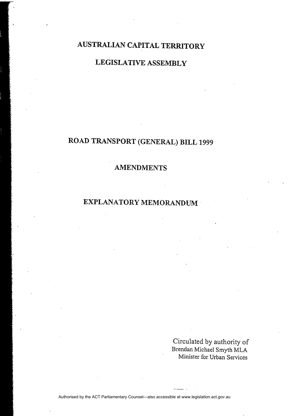# **AUSTRALIAN CAPITAL TERRITORY**

## **LEGISLATIVE ASSEMBLY**

# **ROAD TRANSPORT (GENERAL) BILL 1999**

### **AMENDMENTS**

## **EXPLANATORY MEMORANDUM**

Circulated by authority of Brendan Michael Smyth MLA Minister for Urban Services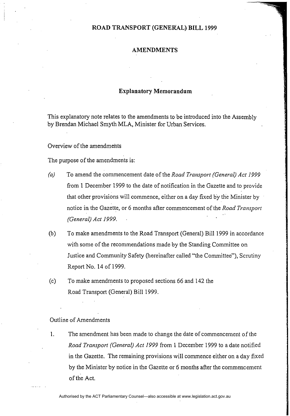### **ROAD TRANSPORT (GENERAL) BILL 1999**

#### **AMENDMENTS**

### **Explanatory Memorandum**

This explanatory note relates to the amendments to be introduced into the Assembly by Brendan Michael Smyth MLA, Minister for Urban Services.

Overview of the amendments

The purpose of the amendments is:

- *(aJ* To amend the commencement date of the *Road Transport (General) Act 1999*  from 1 December 1999 to the date of notification in the Gazette and to provide that other provisions will commence, either on a day fixed by the Minister by notice in the Gazette, or 6 months after commencement of the *Road Transport (General) Act 1999.*
- (b) To make amendments to the Road Transport (General) Bill 1999 in accordance with some of the recommendations made by the Standing Committee on Justice and Community Safety (hereinafter called "the Committee"), Scrutiny Report No. 14 of 1999.
- (c) To make amendments to proposed sections 66 and 142 the Road Transport (General) Bill 1999.

Outline of Amendments

1. The amendment has been made to change the date of commencement of the *Road Transport (General) Act* 1999 from 1 December 1999 to a date notified in the Gazette. The remaining provisions will commence either on a day fixed by the Minister by notice in the Gazette or 6 months after the commencement of the Act.